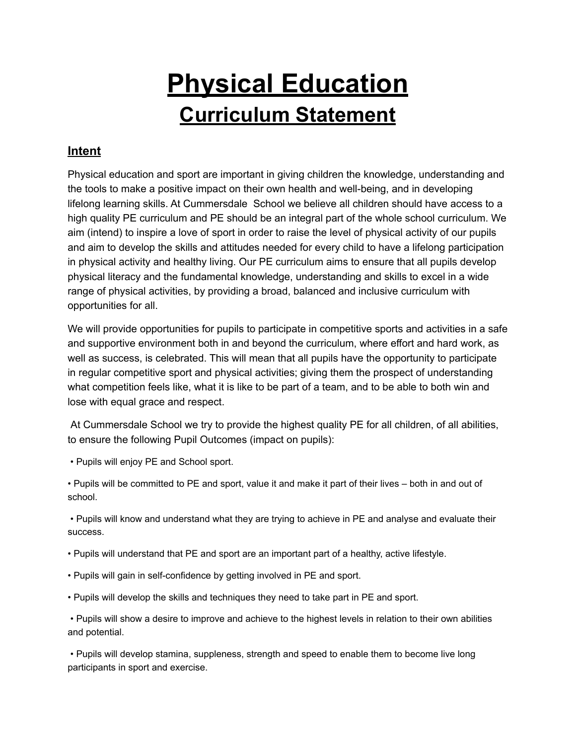# **Physical Education Curriculum Statement**

## **Intent**

Physical education and sport are important in giving children the knowledge, understanding and the tools to make a positive impact on their own health and well-being, and in developing lifelong learning skills. At Cummersdale School we believe all children should have access to a high quality PE curriculum and PE should be an integral part of the whole school curriculum. We aim (intend) to inspire a love of sport in order to raise the level of physical activity of our pupils and aim to develop the skills and attitudes needed for every child to have a lifelong participation in physical activity and healthy living. Our PE curriculum aims to ensure that all pupils develop physical literacy and the fundamental knowledge, understanding and skills to excel in a wide range of physical activities, by providing a broad, balanced and inclusive curriculum with opportunities for all.

We will provide opportunities for pupils to participate in competitive sports and activities in a safe and supportive environment both in and beyond the curriculum, where effort and hard work, as well as success, is celebrated. This will mean that all pupils have the opportunity to participate in regular competitive sport and physical activities; giving them the prospect of understanding what competition feels like, what it is like to be part of a team, and to be able to both win and lose with equal grace and respect.

At Cummersdale School we try to provide the highest quality PE for all children, of all abilities, to ensure the following Pupil Outcomes (impact on pupils):

• Pupils will enjoy PE and School sport.

• Pupils will be committed to PE and sport, value it and make it part of their lives – both in and out of school.

• Pupils will know and understand what they are trying to achieve in PE and analyse and evaluate their success.

- Pupils will understand that PE and sport are an important part of a healthy, active lifestyle.
- Pupils will gain in self-confidence by getting involved in PE and sport.
- Pupils will develop the skills and techniques they need to take part in PE and sport.

• Pupils will show a desire to improve and achieve to the highest levels in relation to their own abilities and potential.

• Pupils will develop stamina, suppleness, strength and speed to enable them to become live long participants in sport and exercise.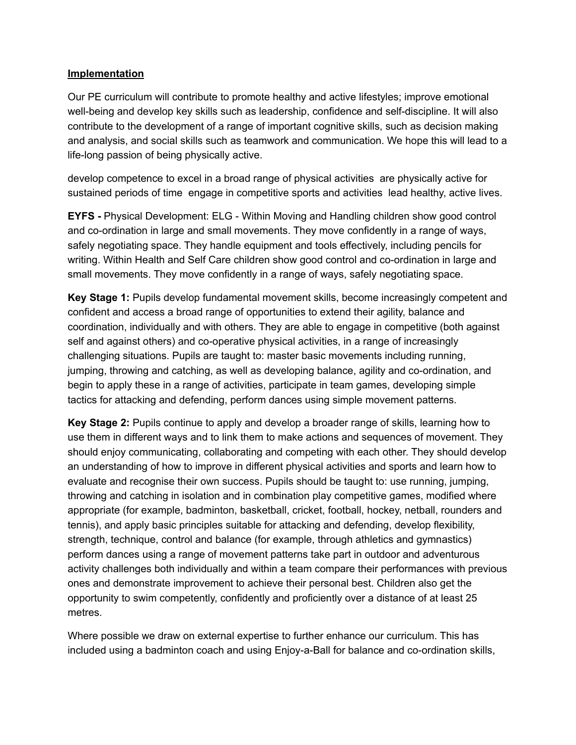#### **Implementation**

Our PE curriculum will contribute to promote healthy and active lifestyles; improve emotional well-being and develop key skills such as leadership, confidence and self-discipline. It will also contribute to the development of a range of important cognitive skills, such as decision making and analysis, and social skills such as teamwork and communication. We hope this will lead to a life-long passion of being physically active.

develop competence to excel in a broad range of physical activities are physically active for sustained periods of time engage in competitive sports and activities lead healthy, active lives.

**EYFS -** Physical Development: ELG - Within Moving and Handling children show good control and co-ordination in large and small movements. They move confidently in a range of ways, safely negotiating space. They handle equipment and tools effectively, including pencils for writing. Within Health and Self Care children show good control and co-ordination in large and small movements. They move confidently in a range of ways, safely negotiating space.

**Key Stage 1:** Pupils develop fundamental movement skills, become increasingly competent and confident and access a broad range of opportunities to extend their agility, balance and coordination, individually and with others. They are able to engage in competitive (both against self and against others) and co-operative physical activities, in a range of increasingly challenging situations. Pupils are taught to: master basic movements including running, jumping, throwing and catching, as well as developing balance, agility and co-ordination, and begin to apply these in a range of activities, participate in team games, developing simple tactics for attacking and defending, perform dances using simple movement patterns.

**Key Stage 2:** Pupils continue to apply and develop a broader range of skills, learning how to use them in different ways and to link them to make actions and sequences of movement. They should enjoy communicating, collaborating and competing with each other. They should develop an understanding of how to improve in different physical activities and sports and learn how to evaluate and recognise their own success. Pupils should be taught to: use running, jumping, throwing and catching in isolation and in combination play competitive games, modified where appropriate (for example, badminton, basketball, cricket, football, hockey, netball, rounders and tennis), and apply basic principles suitable for attacking and defending, develop flexibility, strength, technique, control and balance (for example, through athletics and gymnastics) perform dances using a range of movement patterns take part in outdoor and adventurous activity challenges both individually and within a team compare their performances with previous ones and demonstrate improvement to achieve their personal best. Children also get the opportunity to swim competently, confidently and proficiently over a distance of at least 25 metres.

Where possible we draw on external expertise to further enhance our curriculum. This has included using a badminton coach and using Enjoy-a-Ball for balance and co-ordination skills,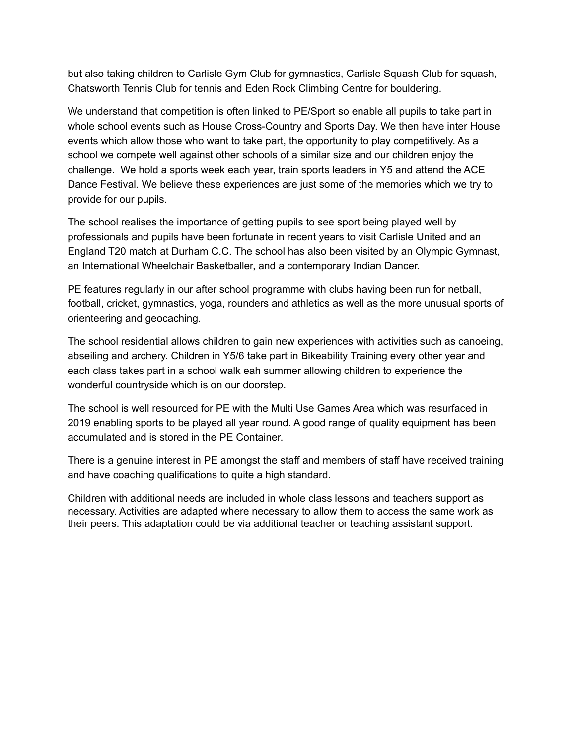but also taking children to Carlisle Gym Club for gymnastics, Carlisle Squash Club for squash, Chatsworth Tennis Club for tennis and Eden Rock Climbing Centre for bouldering.

We understand that competition is often linked to PE/Sport so enable all pupils to take part in whole school events such as House Cross-Country and Sports Day. We then have inter House events which allow those who want to take part, the opportunity to play competitively. As a school we compete well against other schools of a similar size and our children enjoy the challenge. We hold a sports week each year, train sports leaders in Y5 and attend the ACE Dance Festival. We believe these experiences are just some of the memories which we try to provide for our pupils.

The school realises the importance of getting pupils to see sport being played well by professionals and pupils have been fortunate in recent years to visit Carlisle United and an England T20 match at Durham C.C. The school has also been visited by an Olympic Gymnast, an International Wheelchair Basketballer, and a contemporary Indian Dancer.

PE features regularly in our after school programme with clubs having been run for netball, football, cricket, gymnastics, yoga, rounders and athletics as well as the more unusual sports of orienteering and geocaching.

The school residential allows children to gain new experiences with activities such as canoeing, abseiling and archery. Children in Y5/6 take part in Bikeability Training every other year and each class takes part in a school walk eah summer allowing children to experience the wonderful countryside which is on our doorstep.

The school is well resourced for PE with the Multi Use Games Area which was resurfaced in 2019 enabling sports to be played all year round. A good range of quality equipment has been accumulated and is stored in the PE Container.

There is a genuine interest in PE amongst the staff and members of staff have received training and have coaching qualifications to quite a high standard.

Children with additional needs are included in whole class lessons and teachers support as necessary. Activities are adapted where necessary to allow them to access the same work as their peers. This adaptation could be via additional teacher or teaching assistant support.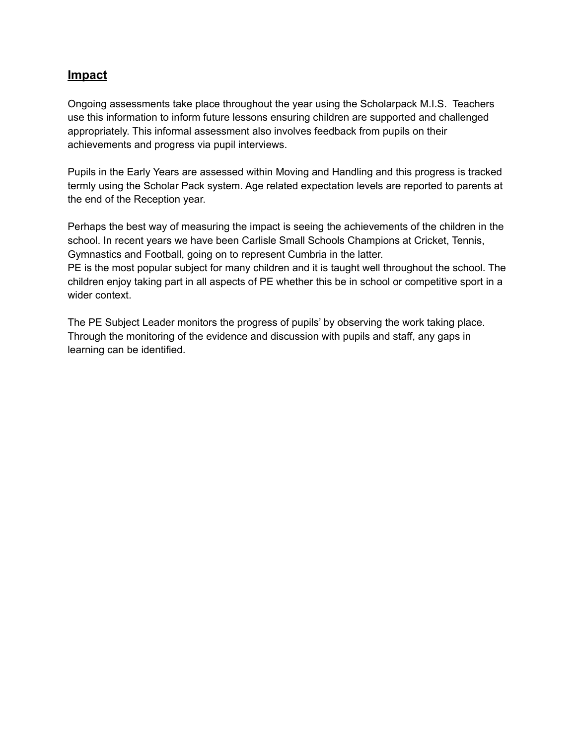### **Impact**

Ongoing assessments take place throughout the year using the Scholarpack M.I.S. Teachers use this information to inform future lessons ensuring children are supported and challenged appropriately. This informal assessment also involves feedback from pupils on their achievements and progress via pupil interviews.

Pupils in the Early Years are assessed within Moving and Handling and this progress is tracked termly using the Scholar Pack system. Age related expectation levels are reported to parents at the end of the Reception year.

Perhaps the best way of measuring the impact is seeing the achievements of the children in the school. In recent years we have been Carlisle Small Schools Champions at Cricket, Tennis, Gymnastics and Football, going on to represent Cumbria in the latter.

PE is the most popular subject for many children and it is taught well throughout the school. The children enjoy taking part in all aspects of PE whether this be in school or competitive sport in a wider context.

The PE Subject Leader monitors the progress of pupils' by observing the work taking place. Through the monitoring of the evidence and discussion with pupils and staff, any gaps in learning can be identified.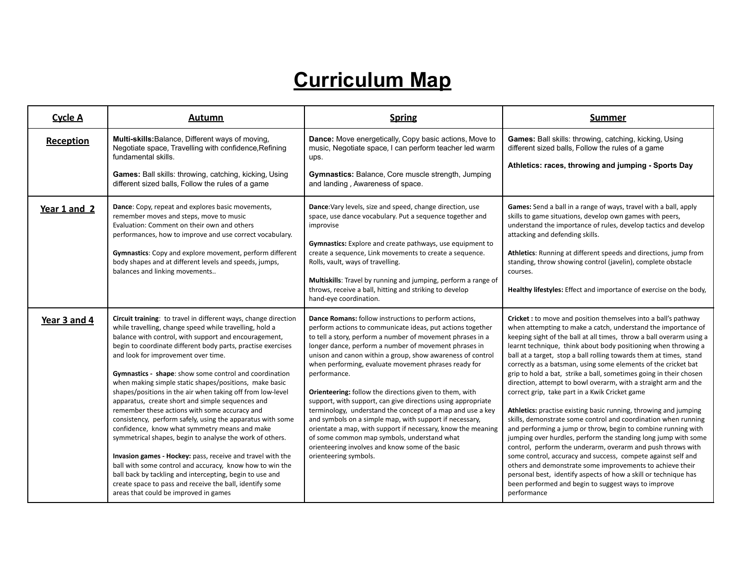# **Curriculum Map**

| <b>Cycle A</b> | Autumn                                                                                                                                                                                                                                                                                                                                                                                                                                                                                                                                                                                                                                                                                                                                                                                                                                                                                                                                                                                                                                                         | <b>Spring</b>                                                                                                                                                                                                                                                                                                                                                                                                                                                                                                                                                                                                                                                                                                                                                                                                                           | <b>Summer</b>                                                                                                                                                                                                                                                                                                                                                                                                                                                                                                                                                                                                                                                                                                                                                                                                                                                                                                                                                                                                                                                                                                                                                                                                               |
|----------------|----------------------------------------------------------------------------------------------------------------------------------------------------------------------------------------------------------------------------------------------------------------------------------------------------------------------------------------------------------------------------------------------------------------------------------------------------------------------------------------------------------------------------------------------------------------------------------------------------------------------------------------------------------------------------------------------------------------------------------------------------------------------------------------------------------------------------------------------------------------------------------------------------------------------------------------------------------------------------------------------------------------------------------------------------------------|-----------------------------------------------------------------------------------------------------------------------------------------------------------------------------------------------------------------------------------------------------------------------------------------------------------------------------------------------------------------------------------------------------------------------------------------------------------------------------------------------------------------------------------------------------------------------------------------------------------------------------------------------------------------------------------------------------------------------------------------------------------------------------------------------------------------------------------------|-----------------------------------------------------------------------------------------------------------------------------------------------------------------------------------------------------------------------------------------------------------------------------------------------------------------------------------------------------------------------------------------------------------------------------------------------------------------------------------------------------------------------------------------------------------------------------------------------------------------------------------------------------------------------------------------------------------------------------------------------------------------------------------------------------------------------------------------------------------------------------------------------------------------------------------------------------------------------------------------------------------------------------------------------------------------------------------------------------------------------------------------------------------------------------------------------------------------------------|
| Reception      | Multi-skills: Balance, Different ways of moving,<br>Negotiate space, Travelling with confidence, Refining<br>fundamental skills.<br>Games: Ball skills: throwing, catching, kicking, Using<br>different sized balls, Follow the rules of a game                                                                                                                                                                                                                                                                                                                                                                                                                                                                                                                                                                                                                                                                                                                                                                                                                | Dance: Move energetically, Copy basic actions, Move to<br>music, Negotiate space, I can perform teacher led warm<br>ups.<br>Gymnastics: Balance, Core muscle strength, Jumping<br>and landing, Awareness of space.                                                                                                                                                                                                                                                                                                                                                                                                                                                                                                                                                                                                                      | Games: Ball skills: throwing, catching, kicking, Using<br>different sized balls, Follow the rules of a game<br>Athletics: races, throwing and jumping - Sports Day                                                                                                                                                                                                                                                                                                                                                                                                                                                                                                                                                                                                                                                                                                                                                                                                                                                                                                                                                                                                                                                          |
| Year 1 and 2   | <b>Dance:</b> Copy, repeat and explores basic movements,<br>remember moves and steps, move to music<br>Evaluation: Comment on their own and others<br>performances, how to improve and use correct vocabulary.<br>Gymnastics: Copy and explore movement, perform different<br>body shapes and at different levels and speeds, jumps,<br>balances and linking movements                                                                                                                                                                                                                                                                                                                                                                                                                                                                                                                                                                                                                                                                                         | Dance: Vary levels, size and speed, change direction, use<br>space, use dance vocabulary. Put a sequence together and<br>improvise<br>Gymnastics: Explore and create pathways, use equipment to<br>create a sequence, Link movements to create a sequence.<br>Rolls, vault, ways of travelling.<br>Multiskills: Travel by running and jumping, perform a range of<br>throws, receive a ball, hitting and striking to develop<br>hand-eye coordination.                                                                                                                                                                                                                                                                                                                                                                                  | Games: Send a ball in a range of ways, travel with a ball, apply<br>skills to game situations, develop own games with peers,<br>understand the importance of rules, develop tactics and develop<br>attacking and defending skills.<br>Athletics: Running at different speeds and directions, jump from<br>standing, throw showing control (javelin), complete obstacle<br>courses.<br>Healthy lifestyles: Effect and importance of exercise on the body,                                                                                                                                                                                                                                                                                                                                                                                                                                                                                                                                                                                                                                                                                                                                                                    |
| Year 3 and 4   | Circuit training: to travel in different ways, change direction<br>while travelling, change speed while travelling, hold a<br>balance with control, with support and encouragement,<br>begin to coordinate different body parts, practise exercises<br>and look for improvement over time.<br><b>Gymnastics - shape:</b> show some control and coordination<br>when making simple static shapes/positions, make basic<br>shapes/positions in the air when taking off from low-level<br>apparatus, create short and simple sequences and<br>remember these actions with some accuracy and<br>consistency, perform safely, using the apparatus with some<br>confidence, know what symmetry means and make<br>symmetrical shapes, begin to analyse the work of others.<br>Invasion games - Hockey: pass, receive and travel with the<br>ball with some control and accuracy, know how to win the<br>ball back by tackling and intercepting, begin to use and<br>create space to pass and receive the ball, identify some<br>areas that could be improved in games | Dance Romans: follow instructions to perform actions,<br>perform actions to communicate ideas, put actions together<br>to tell a story, perform a number of movement phrases in a<br>longer dance, perform a number of movement phrases in<br>unison and canon within a group, show awareness of control<br>when performing, evaluate movement phrases ready for<br>performance.<br><b>Orienteering:</b> follow the directions given to them, with<br>support, with support, can give directions using appropriate<br>terminology, understand the concept of a map and use a key<br>and symbols on a simple map, with support if necessary,<br>orientate a map, with support if necessary, know the meaning<br>of some common map symbols, understand what<br>orienteering involves and know some of the basic<br>orienteering symbols. | Cricket : to move and position themselves into a ball's pathway<br>when attempting to make a catch, understand the importance of<br>keeping sight of the ball at all times, throw a ball overarm using a<br>learnt technique, think about body positioning when throwing a<br>ball at a target, stop a ball rolling towards them at times, stand<br>correctly as a batsman, using some elements of the cricket bat<br>grip to hold a bat, strike a ball, sometimes going in their chosen<br>direction, attempt to bowl overarm, with a straight arm and the<br>correct grip, take part in a Kwik Cricket game<br>Athletics: practise existing basic running, throwing and jumping<br>skills, demonstrate some control and coordination when running<br>and performing a jump or throw, begin to combine running with<br>jumping over hurdles, perform the standing long jump with some<br>control, perform the underarm, overarm and push throws with<br>some control, accuracy and success, compete against self and<br>others and demonstrate some improvements to achieve their<br>personal best, identify aspects of how a skill or technique has<br>been performed and begin to suggest ways to improve<br>performance |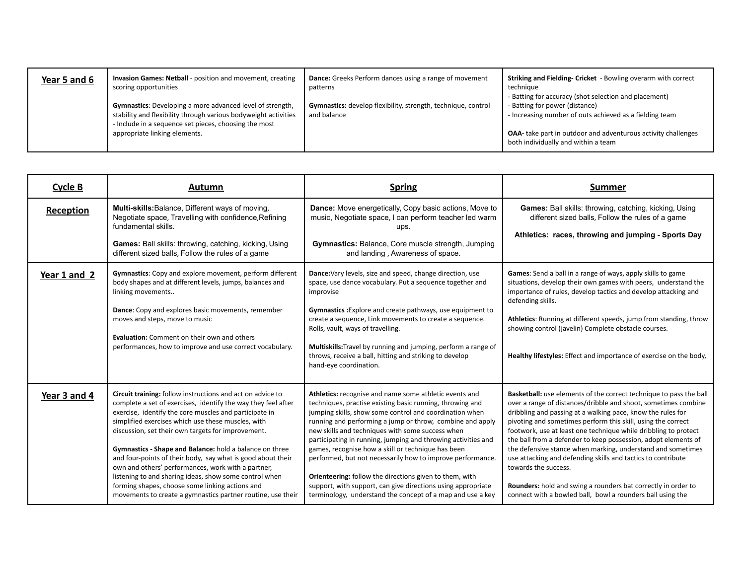| Year 5 and 6 | <b>Invasion Games: Netball</b> - position and movement, creating<br>scoring opportunities<br>Gymnastics: Developing a more advanced level of strength,<br>stability and flexibility through various bodyweight activities<br>- Include in a sequence set pieces, choosing the most | <b>Dance:</b> Greeks Perform dances using a range of movement<br>patterns<br>Gymnastics: develop flexibility, strength, technique, control<br>and balance | Striking and Fielding- Cricket - Bowling overarm with correct<br>technique<br>- Batting for accuracy (shot selection and placement)<br>- Batting for power (distance)<br>- Increasing number of outs achieved as a fielding team |
|--------------|------------------------------------------------------------------------------------------------------------------------------------------------------------------------------------------------------------------------------------------------------------------------------------|-----------------------------------------------------------------------------------------------------------------------------------------------------------|----------------------------------------------------------------------------------------------------------------------------------------------------------------------------------------------------------------------------------|
|              | appropriate linking elements.                                                                                                                                                                                                                                                      |                                                                                                                                                           | OAA- take part in outdoor and adventurous activity challenges<br>both individually and within a team                                                                                                                             |

| Cycle B      | Autumn                                                                                                                                                                                                                                                                                                                                                                                                                                                                                                                                                                                                                                                        | <b>Spring</b>                                                                                                                                                                                                                                                                                                                                                                                                                                                                                                                                                                                                                                                                 | <u>Summer</u>                                                                                                                                                                                                                                                                                                                                                                                                                                                                                                                                                                                                                                                                                  |
|--------------|---------------------------------------------------------------------------------------------------------------------------------------------------------------------------------------------------------------------------------------------------------------------------------------------------------------------------------------------------------------------------------------------------------------------------------------------------------------------------------------------------------------------------------------------------------------------------------------------------------------------------------------------------------------|-------------------------------------------------------------------------------------------------------------------------------------------------------------------------------------------------------------------------------------------------------------------------------------------------------------------------------------------------------------------------------------------------------------------------------------------------------------------------------------------------------------------------------------------------------------------------------------------------------------------------------------------------------------------------------|------------------------------------------------------------------------------------------------------------------------------------------------------------------------------------------------------------------------------------------------------------------------------------------------------------------------------------------------------------------------------------------------------------------------------------------------------------------------------------------------------------------------------------------------------------------------------------------------------------------------------------------------------------------------------------------------|
| Reception    | Multi-skills: Balance, Different ways of moving,<br>Negotiate space, Travelling with confidence, Refining<br>fundamental skills.<br>Games: Ball skills: throwing, catching, kicking, Using<br>different sized balls, Follow the rules of a game                                                                                                                                                                                                                                                                                                                                                                                                               | Dance: Move energetically, Copy basic actions, Move to<br>music, Negotiate space, I can perform teacher led warm<br>ups.<br>Gymnastics: Balance, Core muscle strength, Jumping<br>and landing, Awareness of space.                                                                                                                                                                                                                                                                                                                                                                                                                                                            | Games: Ball skills: throwing, catching, kicking, Using<br>different sized balls, Follow the rules of a game<br>Athletics: races, throwing and jumping - Sports Day                                                                                                                                                                                                                                                                                                                                                                                                                                                                                                                             |
| Year 1 and 2 | Gymnastics: Copy and explore movement, perform different<br>body shapes and at different levels, jumps, balances and<br>linking movements<br>Dance: Copy and explores basic movements, remember<br>moves and steps, move to music<br><b>Evaluation:</b> Comment on their own and others<br>performances, how to improve and use correct vocabulary.                                                                                                                                                                                                                                                                                                           | Dance: Vary levels, size and speed, change direction, use<br>space, use dance vocabulary. Put a sequence together and<br>improvise<br>Gymnastics : Explore and create pathways, use equipment to<br>create a sequence, Link movements to create a sequence.<br>Rolls, vault, ways of travelling.<br>Multiskills: Travel by running and jumping, perform a range of<br>throws, receive a ball, hitting and striking to develop<br>hand-eye coordination.                                                                                                                                                                                                                       | Games: Send a ball in a range of ways, apply skills to game<br>situations, develop their own games with peers, understand the<br>importance of rules, develop tactics and develop attacking and<br>defending skills.<br>Athletics: Running at different speeds, jump from standing, throw<br>showing control (javelin) Complete obstacle courses.<br>Healthy lifestyles: Effect and importance of exercise on the body,                                                                                                                                                                                                                                                                        |
| Year 3 and 4 | Circuit training: follow instructions and act on advice to<br>complete a set of exercises, identify the way they feel after<br>exercise, identify the core muscles and participate in<br>simplified exercises which use these muscles, with<br>discussion, set their own targets for improvement.<br>Gymnastics - Shape and Balance: hold a balance on three<br>and four-points of their body, say what is good about their<br>own and others' performances, work with a partner,<br>listening to and sharing ideas, show some control when<br>forming shapes, choose some linking actions and<br>movements to create a gymnastics partner routine, use their | Athletics: recognise and name some athletic events and<br>techniques, practise existing basic running, throwing and<br>jumping skills, show some control and coordination when<br>running and performing a jump or throw, combine and apply<br>new skills and techniques with some success when<br>participating in running, jumping and throwing activities and<br>games, recognise how a skill or technique has been<br>performed, but not necessarily how to improve performance.<br>Orienteering: follow the directions given to them, with<br>support, with support, can give directions using appropriate<br>terminology, understand the concept of a map and use a key | Basketball: use elements of the correct technique to pass the ball<br>over a range of distances/dribble and shoot, sometimes combine<br>dribbling and passing at a walking pace, know the rules for<br>pivoting and sometimes perform this skill, using the correct<br>footwork, use at least one technique while dribbling to protect<br>the ball from a defender to keep possession, adopt elements of<br>the defensive stance when marking, understand and sometimes<br>use attacking and defending skills and tactics to contribute<br>towards the success.<br>Rounders: hold and swing a rounders bat correctly in order to<br>connect with a bowled ball, bowl a rounders ball using the |